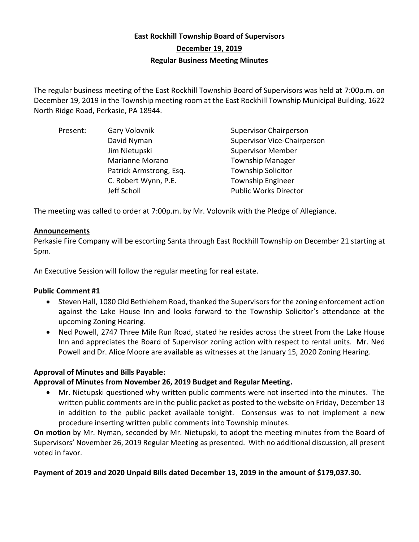# **East Rockhill Township Board of Supervisors December 19, 2019 Regular Business Meeting Minutes**

The regular business meeting of the East Rockhill Township Board of Supervisors was held at 7:00p.m. on December 19, 2019 in the Township meeting room at the East Rockhill Township Municipal Building, 1622 North Ridge Road, Perkasie, PA 18944.

| Present: | Gary Volovnik           | <b>Supervisor Chairperson</b>      |
|----------|-------------------------|------------------------------------|
|          | David Nyman             | <b>Supervisor Vice-Chairperson</b> |
|          | Jim Nietupski           | <b>Supervisor Member</b>           |
|          | Marianne Morano         | <b>Township Manager</b>            |
|          | Patrick Armstrong, Esq. | <b>Township Solicitor</b>          |
|          | C. Robert Wynn, P.E.    | <b>Township Engineer</b>           |
|          | Jeff Scholl             | <b>Public Works Director</b>       |

The meeting was called to order at 7:00p.m. by Mr. Volovnik with the Pledge of Allegiance.

#### **Announcements**

Perkasie Fire Company will be escorting Santa through East Rockhill Township on December 21 starting at 5pm.

An Executive Session will follow the regular meeting for real estate.

# **Public Comment #1**

- Steven Hall, 1080 Old Bethlehem Road, thanked the Supervisors for the zoning enforcement action against the Lake House Inn and looks forward to the Township Solicitor's attendance at the upcoming Zoning Hearing.
- Ned Powell, 2747 Three Mile Run Road, stated he resides across the street from the Lake House Inn and appreciates the Board of Supervisor zoning action with respect to rental units. Mr. Ned Powell and Dr. Alice Moore are available as witnesses at the January 15, 2020 Zoning Hearing.

# **Approval of Minutes and Bills Payable:**

# **Approval of Minutes from November 26, 2019 Budget and Regular Meeting.**

• Mr. Nietupski questioned why written public comments were not inserted into the minutes. The written public comments are in the public packet as posted to the website on Friday, December 13 in addition to the public packet available tonight. Consensus was to not implement a new procedure inserting written public comments into Township minutes.

**On motion** by Mr. Nyman, seconded by Mr. Nietupski, to adopt the meeting minutes from the Board of Supervisors' November 26, 2019 Regular Meeting as presented. With no additional discussion, all present voted in favor.

# **Payment of 2019 and 2020 Unpaid Bills dated December 13, 2019 in the amount of \$179,037.30.**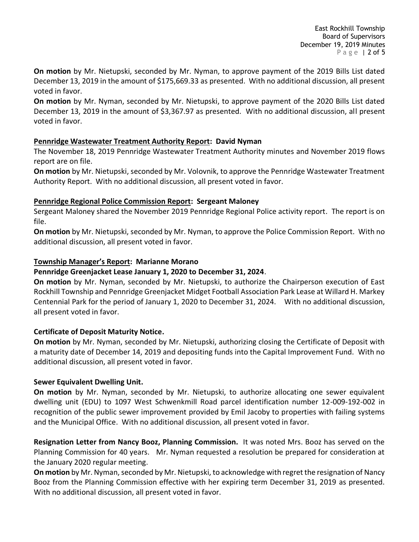East Rockhill Township Board of Supervisors December 19, 2019 Minutes P a g e | 2 of 5

**On motion** by Mr. Nietupski, seconded by Mr. Nyman, to approve payment of the 2019 Bills List dated December 13, 2019 in the amount of \$175,669.33 as presented. With no additional discussion, all present voted in favor.

**On motion** by Mr. Nyman, seconded by Mr. Nietupski, to approve payment of the 2020 Bills List dated December 13, 2019 in the amount of \$3,367.97 as presented. With no additional discussion, all present voted in favor.

# **Pennridge Wastewater Treatment Authority Report: David Nyman**

The November 18, 2019 Pennridge Wastewater Treatment Authority minutes and November 2019 flows report are on file.

**On motion** by Mr. Nietupski, seconded by Mr. Volovnik, to approve the Pennridge Wastewater Treatment Authority Report. With no additional discussion, all present voted in favor.

# **Pennridge Regional Police Commission Report: Sergeant Maloney**

Sergeant Maloney shared the November 2019 Pennridge Regional Police activity report. The report is on file.

**On motion** by Mr. Nietupski, seconded by Mr. Nyman, to approve the Police Commission Report. With no additional discussion, all present voted in favor.

# **Township Manager's Report: Marianne Morano**

# **Pennridge Greenjacket Lease January 1, 2020 to December 31, 2024**.

**On motion** by Mr. Nyman, seconded by Mr. Nietupski, to authorize the Chairperson execution of East Rockhill Township and Pennridge Greenjacket Midget Football Association Park Lease at Willard H. Markey Centennial Park for the period of January 1, 2020 to December 31, 2024. With no additional discussion, all present voted in favor.

# **Certificate of Deposit Maturity Notice.**

**On motion** by Mr. Nyman, seconded by Mr. Nietupski, authorizing closing the Certificate of Deposit with a maturity date of December 14, 2019 and depositing funds into the Capital Improvement Fund. With no additional discussion, all present voted in favor.

# **Sewer Equivalent Dwelling Unit.**

**On motion** by Mr. Nyman, seconded by Mr. Nietupski, to authorize allocating one sewer equivalent dwelling unit (EDU) to 1097 West Schwenkmill Road parcel identification number 12-009-192-002 in recognition of the public sewer improvement provided by Emil Jacoby to properties with failing systems and the Municipal Office. With no additional discussion, all present voted in favor.

**Resignation Letter from Nancy Booz, Planning Commission.** It was noted Mrs. Booz has served on the Planning Commission for 40 years. Mr. Nyman requested a resolution be prepared for consideration at the January 2020 regular meeting.

On motion by Mr. Nyman, seconded by Mr. Nietupski, to acknowledge with regret the resignation of Nancy Booz from the Planning Commission effective with her expiring term December 31, 2019 as presented. With no additional discussion, all present voted in favor.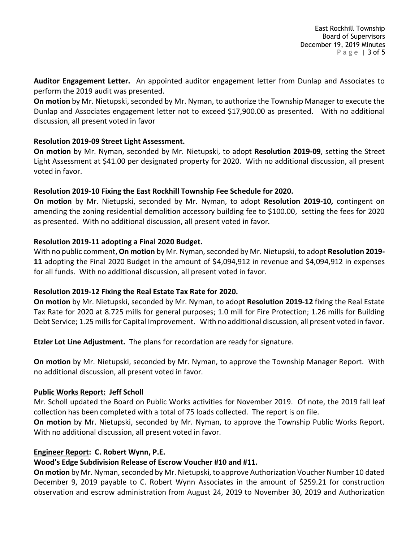**Auditor Engagement Letter.** An appointed auditor engagement letter from Dunlap and Associates to perform the 2019 audit was presented.

**On motion** by Mr. Nietupski, seconded by Mr. Nyman, to authorize the Township Manager to execute the Dunlap and Associates engagement letter not to exceed \$17,900.00 as presented. With no additional discussion, all present voted in favor

# **Resolution 2019-09 Street Light Assessment.**

**On motion** by Mr. Nyman, seconded by Mr. Nietupski, to adopt **Resolution 2019-09**, setting the Street Light Assessment at \$41.00 per designated property for 2020. With no additional discussion, all present voted in favor.

# **Resolution 2019-10 Fixing the East Rockhill Township Fee Schedule for 2020.**

**On motion** by Mr. Nietupski, seconded by Mr. Nyman, to adopt **Resolution 2019-10,** contingent on amending the zoning residential demolition accessory building fee to \$100.00, setting the fees for 2020 as presented. With no additional discussion, all present voted in favor.

# **Resolution 2019-11 adopting a Final 2020 Budget.**

With no public comment, On motion by Mr. Nyman, seconded by Mr. Nietupski, to adopt Resolution 2019-**11** adopting the Final 2020 Budget in the amount of \$4,094,912 in revenue and \$4,094,912 in expenses for all funds. With no additional discussion, all present voted in favor.

# **Resolution 2019-12 Fixing the Real Estate Tax Rate for 2020.**

**On motion** by Mr. Nietupski, seconded by Mr. Nyman, to adopt **Resolution 2019-12** fixing the Real Estate Tax Rate for 2020 at 8.725 mills for general purposes; 1.0 mill for Fire Protection; 1.26 mills for Building Debt Service; 1.25 mills for Capital Improvement. With no additional discussion, all present voted in favor.

**Etzler Lot Line Adjustment.** The plans for recordation are ready for signature.

**On motion** by Mr. Nietupski, seconded by Mr. Nyman, to approve the Township Manager Report. With no additional discussion, all present voted in favor.

# **Public Works Report: Jeff Scholl**

Mr. Scholl updated the Board on Public Works activities for November 2019. Of note, the 2019 fall leaf collection has been completed with a total of 75 loads collected. The report is on file.

**On motion** by Mr. Nietupski, seconded by Mr. Nyman, to approve the Township Public Works Report. With no additional discussion, all present voted in favor.

# **Engineer Report: C. Robert Wynn, P.E.**

# **Wood's Edge Subdivision Release of Escrow Voucher #10 and #11.**

**On motion** by Mr. Nyman, seconded by Mr. Nietupski, to approve Authorization Voucher Number 10 dated December 9, 2019 payable to C. Robert Wynn Associates in the amount of \$259.21 for construction observation and escrow administration from August 24, 2019 to November 30, 2019 and Authorization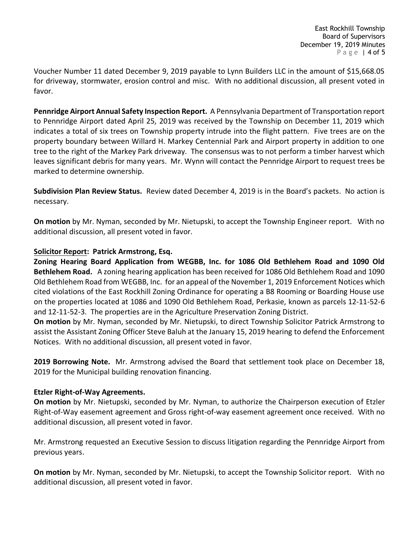Voucher Number 11 dated December 9, 2019 payable to Lynn Builders LLC in the amount of \$15,668.05 for driveway, stormwater, erosion control and misc. With no additional discussion, all present voted in favor.

**Pennridge Airport Annual Safety Inspection Report.** A Pennsylvania Department of Transportation report to Pennridge Airport dated April 25, 2019 was received by the Township on December 11, 2019 which indicates a total of six trees on Township property intrude into the flight pattern. Five trees are on the property boundary between Willard H. Markey Centennial Park and Airport property in addition to one tree to the right of the Markey Park driveway. The consensus was to not perform a timber harvest which leaves significant debris for many years. Mr. Wynn will contact the Pennridge Airport to request trees be marked to determine ownership.

**Subdivision Plan Review Status.** Review dated December 4, 2019 is in the Board's packets. No action is necessary.

**On motion** by Mr. Nyman, seconded by Mr. Nietupski, to accept the Township Engineer report. With no additional discussion, all present voted in favor.

# **Solicitor Report: Patrick Armstrong, Esq.**

**Zoning Hearing Board Application from WEGBB, Inc. for 1086 Old Bethlehem Road and 1090 Old Bethlehem Road.** A zoning hearing application has been received for 1086 Old Bethlehem Road and 1090 Old Bethlehem Road from WEGBB, Inc. for an appeal of the November 1, 2019 Enforcement Notices which cited violations of the East Rockhill Zoning Ordinance for operating a B8 Rooming or Boarding House use on the properties located at 1086 and 1090 Old Bethlehem Road, Perkasie, known as parcels 12-11-52-6 and 12-11-52-3. The properties are in the Agriculture Preservation Zoning District.

**On motion** by Mr. Nyman, seconded by Mr. Nietupski, to direct Township Solicitor Patrick Armstrong to assist the Assistant Zoning Officer Steve Baluh at the January 15, 2019 hearing to defend the Enforcement Notices. With no additional discussion, all present voted in favor.

**2019 Borrowing Note.** Mr. Armstrong advised the Board that settlement took place on December 18, 2019 for the Municipal building renovation financing.

#### **Etzler Right-of-Way Agreements.**

**On motion** by Mr. Nietupski, seconded by Mr. Nyman, to authorize the Chairperson execution of Etzler Right-of-Way easement agreement and Gross right-of-way easement agreement once received. With no additional discussion, all present voted in favor.

Mr. Armstrong requested an Executive Session to discuss litigation regarding the Pennridge Airport from previous years.

**On motion** by Mr. Nyman, seconded by Mr. Nietupski, to accept the Township Solicitor report. With no additional discussion, all present voted in favor.